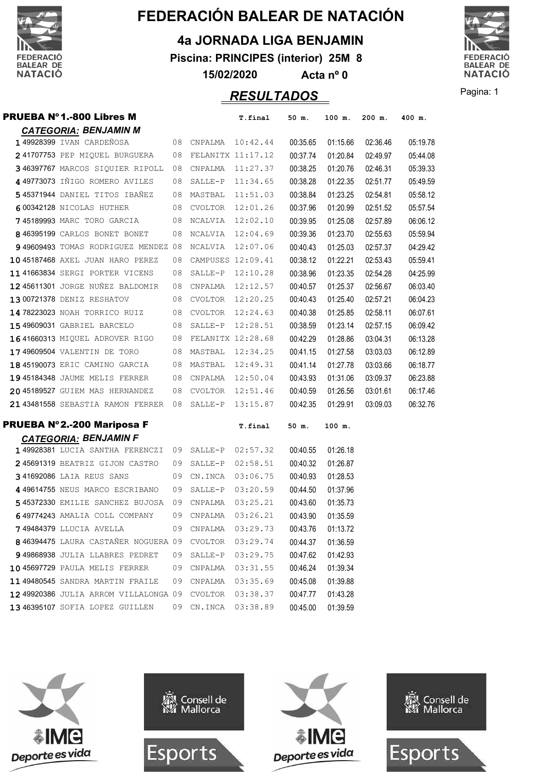

**4a JORNADA LIGA BENJAMIN**

**Piscina: PRINCIPES (interior) 25M 8**

**15/02/2020 Acta nº 0**



Pagina: 1 *RESULTADOS*

| <b>PRUEBA Nº1.-800 Libres M</b>              |    |                      | T.final  | 50 m.    | 100 m.   | $200$ m. | 400 m.   |
|----------------------------------------------|----|----------------------|----------|----------|----------|----------|----------|
| <b>CATEGORIA: BENJAMIN M</b>                 |    |                      |          |          |          |          |          |
| 149928399 IVAN CARDEÑOSA                     |    | 08 CNPALMA 10:42.44  |          | 00:35.65 | 01:15.66 | 02:36.46 | 05:19.78 |
| 241707753 PEP MIQUEL BURGUERA                |    | 08 FELANITX 11:17.12 |          | 00:37.74 | 01:20.84 | 02:49.97 | 05:44.08 |
| 346397767 MARCOS SIQUIER RIPOLL              | 08 | CNPALMA              | 11:27.37 | 00:38.25 | 01:20.76 | 02:46.31 | 05:39.33 |
| 449773073 IÑIGO ROMERO AVILES                | 08 | SALLE-P              | 11:34.65 | 00:38.28 | 01:22.35 | 02:51.77 | 05:49.59 |
| 545371944 DANIEL TITOS IBAÑEZ                | 08 | MASTBAL              | 11:51.03 | 00:38.84 | 01:23.25 | 02:54.81 | 05:58.12 |
| 600342128 NICOLAS HUTHER                     |    | 08 CVOLTOR           | 12:01.26 | 00:37.96 | 01:20.99 | 02:51.52 | 05:57.54 |
| 745189993 MARC TORO GARCIA                   |    | 08 NCALVIA           | 12:02.10 | 00:39.95 | 01:25.08 | 02:57.89 | 06:06.12 |
| 8 46395199 CARLOS BONET BONET                | 08 | NCALVIA              | 12:04.69 | 00:39.36 | 01:23.70 | 02:55.63 | 05:59.94 |
| 949609493 TOMAS RODRIGUEZ MENDEZ 08          |    | NCALVIA              | 12:07.06 | 00:40.43 | 01:25.03 | 02:57.37 | 04:29.42 |
| 10 45187468 AXEL JUAN HARO PEREZ             | 08 | CAMPUSES 12:09.41    |          | 00:38.12 | 01:22.21 | 02:53.43 | 05:59.41 |
| 11 41663834 SERGI PORTER VICENS              | 08 | SALLE-P              | 12:10.28 | 00:38.96 | 01:23.35 | 02:54.28 | 04:25.99 |
| 12 45611301 JORGE NUÑEZ BALDOMIR             |    | 08 CNPALMA           | 12:12.57 | 00:40.57 | 01:25.37 | 02:56.67 | 06:03.40 |
| 13 00721378 DENIZ RESHATOV                   | 08 | CVOLTOR              | 12:20.25 | 00:40.43 | 01:25.40 | 02:57.21 | 06:04.23 |
| 14 78223023 NOAH TORRICO RUIZ                | 08 | CVOLTOR              | 12:24.63 | 00:40.38 | 01:25.85 | 02:58.11 | 06:07.61 |
| <b>15 49609031 GABRIEL BARCELO</b>           | 08 | SALLE-P              | 12:28.51 | 00:38.59 | 01:23.14 | 02:57.15 | 06:09.42 |
| 16 41660313 MIQUEL ADROVER RIGO              |    | 08 FELANITX 12:28.68 |          | 00:42.29 | 01:28.86 | 03:04.31 | 06:13.28 |
| 1749609504 VALENTIN DE TORO                  |    | 08 MASTBAL           | 12:34.25 | 00:41.15 | 01:27.58 | 03:03.03 | 06:12.89 |
| 18 45190073 ERIC CAMINO GARCIA               | 08 | MASTBAL              | 12:49.31 | 00:41.14 | 01:27.78 | 03:03.66 | 06:18.77 |
| 19 45184348 JAUME MELIS FERRER               | 08 | CNPALMA              | 12:50.04 | 00:43.93 | 01:31.06 | 03:09.37 | 06:23.88 |
| 20 45189527 GUIEM MAS HERNANDEZ              |    | 08 CVOLTOR           | 12:51.46 | 00:40.59 | 01:26.56 | 03:01.61 | 06:17.46 |
| 21 43481558 SEBASTIA RAMON FERRER 08 SALLE-P |    |                      | 13:15.87 | 00:42.35 | 01:29.91 | 03:09.03 | 06:32.76 |
| <b>PRUEBA Nº2.-200 Mariposa F</b>            |    |                      | T.final  | 50 m.    | 100 m.   |          |          |
| <b>CATEGORIA: BENJAMIN F</b>                 |    |                      |          |          |          |          |          |
| 149928381 LUCIA SANTHA FERENCZI 09 SALLE-P   |    |                      | 02:57.32 | 00:40.55 | 01:26.18 |          |          |
| 245691319 BEATRIZ GIJON CASTRO               | 09 | $SALLE-P$            | 02:58.51 | 00:40.32 | 01:26.87 |          |          |
| 341692086 LAIA REUS SANS                     | 09 | CN.INCA              | 03:06.75 | 00:40.93 | 01:28.53 |          |          |
| 4 49614755 NEUS MARCO ESCRIBANO              | 09 | $SALLE-P$            | 03:20.59 | 00:44.50 | 01:37.96 |          |          |
| 545372330 EMILIE SANCHEZ BUJOSA              | 09 | CNPALMA              | 03:25.21 | 00:43.60 | 01:35.73 |          |          |
| 649774243 AMALIA COLL COMPANY                | 09 | CNPALMA              | 03:26.21 | 00:43.90 | 01:35.59 |          |          |
| <b>749484379</b> LLUCIA AVELLA               | 09 | CNPALMA              | 03:29.73 | 00:43.76 | 01:13.72 |          |          |
| 846394475 LAURA CASTAÑER NOGUERA 09          |    | CVOLTOR              | 03:29.74 | 00:44.37 | 01:36.59 |          |          |
| 9 49868938 JULIA LLABRES PEDRET              | 09 | SALLE-P              | 03:29.75 | 00:47.62 | 01:42.93 |          |          |
| 10 45697729 PAULA MELIS FERRER               | 09 | CNPALMA              | 03:31.55 | 00:46.24 | 01:39.34 |          |          |
| 1149480545 SANDRA MARTIN FRAILE              | 09 | CNPALMA              | 03:35.69 | 00:45.08 | 01:39.88 |          |          |
| 12 49920386 JULIA ARROM VILLALONGA 09        |    | <b>CVOLTOR</b>       | 03:38.37 | 00:47.77 | 01:43.28 |          |          |
| 13 46395107 SOFIA LOPEZ GUILLEN              |    | 09 CN.INCA 03:38.89  |          | 00:45.00 | 01:39.59 |          |          |

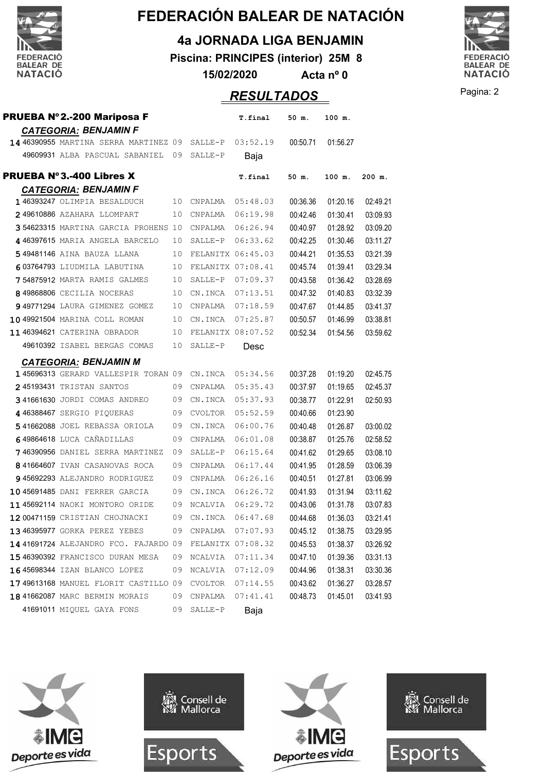

#### **4a JORNADA LIGA BENJAMIN**

**Piscina: PRINCIPES (interior) 25M 8**

**15/02/2020 Acta nº 0**

## **RESULTADOS** Pagina: 2

| <b>PRUEBA Nº2.-200 Mariposa F</b>                      |    |                   | T.final           | 50 m.    | 100 m.   |          |
|--------------------------------------------------------|----|-------------------|-------------------|----------|----------|----------|
| <b>CATEGORIA: BENJAMIN F</b>                           |    |                   |                   |          |          |          |
| 14 46390955 MARTINA SERRA MARTINEZ 09 SALLE-P 03:52.19 |    |                   |                   | 00:50.71 | 01:56.27 |          |
| 49609931 ALBA PASCUAL SABANIEL 09                      |    | SALLE-P           | Baja              |          |          |          |
| <b>PRUEBA Nº3.-400 Libres X</b>                        |    |                   | T.final           | 50 m.    | 100 m.   | 200 m.   |
| <b>CATEGORIA: BENJAMIN F</b>                           |    |                   |                   |          |          |          |
| 146393247 OLIMPIA BESALDUCH                            | 10 | CNPALMA           | 05:48.03          | 00:36.36 | 01:20.16 | 02:49.21 |
| 249610886 AZAHARA LLOMPART                             | 10 | CNPALMA           | 06:19.98          | 00:42.46 | 01:30.41 | 03:09.93 |
| 354623315 MARTINA GARCIA PROHENS 10                    |    | CNPALMA           | 06:26.94          | 00:40.97 | 01:28.92 | 03:09.20 |
| 4 46397615 MARIA ANGELA BARCELO                        | 10 | SALLE-P           | 06:33.62          | 00:42.25 | 01:30.46 | 03:11.27 |
| 549481146 AINA BAUZA LLANA                             | 10 | FELANITX 06:45.03 |                   | 00:44.21 | 01:35.53 | 03:21.39 |
| 603764793 LIUDMILA LABUTINA                            | 10 |                   | FELANITX 07:08.41 | 00:45.74 | 01:39.41 | 03:29.34 |
| 754875912 MARTA RAMIS GALMES                           | 10 | SALLE-P 07:09.37  |                   | 00:43.58 | 01:36.42 | 03:28.69 |
| 849868806 CECILIA NOCERAS                              | 10 | CN.INCA           | 07:13.51          | 00:47.32 | 01:40.83 | 03:32.39 |
| 949771294 LAURA GIMENEZ GOMEZ                          | 10 | CNPALMA 07:18.59  |                   | 00:47.67 | 01:44.85 | 03:41.37 |
| 10 49921504 MARINA COLL ROMAN                          | 10 | CN.INCA           | 07:25.87          | 00:50.57 | 01:46.99 | 03:38.81 |
| 11 46394621 CATERINA OBRADOR                           | 10 | FELANITX 08:07.52 |                   | 00:52.34 | 01:54.56 | 03:59.62 |
| 49610392 ISABEL BERGAS COMAS                           | 10 | SALLE-P           | Desc              |          |          |          |
| <b>CATEGORIA: BENJAMIN M</b>                           |    |                   |                   |          |          |          |
| 145696313 GERARD VALLESPIR TORAN 09 CN. INCA           |    |                   | 05:34.56          | 00:37.28 | 01:19.20 | 02:45.75 |
| 245193431 TRISTAN SANTOS                               | 09 | CNPALMA           | 05:35.43          | 00:37.97 | 01:19.65 | 02:45.37 |
| 341661630 JORDI COMAS ANDREO                           | 09 | CN.INCA           | 05:37.93          | 00:38.77 | 01:22.91 | 02:50.93 |
| 446388467 SERGIO PIQUERAS                              |    | 09 CVOLTOR        | 05:52.59          | 00:40.66 | 01:23.90 |          |
| 541662088 JOEL REBASSA ORIOLA                          | 09 | CN.INCA           | 06:00.76          | 00:40.48 | 01:26.87 | 03:00.02 |
| 649864618 LUCA CAÑADILLAS                              | 09 | CNPALMA           | 06:01.08          | 00:38.87 | 01:25.76 | 02:58.52 |
| 746390956 DANIEL SERRA MARTINEZ                        | 09 | SALLE-P           | 06:15.64          | 00:41.62 | 01:29.65 | 03:08.10 |
| 841664607 IVAN CASANOVAS ROCA                          | 09 | CNPALMA           | 06:17.44          | 00:41.95 | 01:28.59 | 03:06.39 |
| 945692293 ALEJANDRO RODRIGUEZ                          | 09 | CNPALMA           | 06:26.16          | 00:40.51 | 01:27.81 | 03:06.99 |
| 10 45691485 DANI FERRER GARCIA                         | 09 | CN.INCA           | 06:26.72          | 00:41.93 | 01:31.94 | 03:11.62 |
| 11 45692114 NAOKI MONTORO ORIDE                        | 09 | NCALVIA           | 06:29.72          | 00:43.06 | 01:31.78 | 03:07.83 |
| 12 00471159 CRISTIAN CHOJNACKI                         | 09 | CN.INCA           | 06:47.68          | 00:44.68 | 01:36.03 | 03:21.41 |
| 13 46395977 GORKA PEREZ YEBES                          | 09 | CNPALMA           | 07:07.93          | 00:45.12 | 01:38.75 | 03:29.95 |
| 14 41691724 ALEJANDRO FCO. FAJARDO 09                  |    | FELANITX 07:08.32 |                   | 00:45.53 | 01:38.37 | 03:26.92 |
| 1546390392 FRANCISCO DURAN MESA                        | 09 | NCALVIA           | 07:11.34          | 00:47.10 | 01:39.36 | 03:31.13 |
| 1645698344 IZAN BLANCO LOPEZ                           | 09 | NCALVIA           | 07:12.09          | 00:44.96 | 01:38.31 | 03:30.36 |
| 1749613168 MANUEL FLORIT CASTILLO 09                   |    | CVOLTOR           | 07:14.55          | 00:43.62 | 01:36.27 | 03:28.57 |
| 18 41662087 MARC BERMIN MORAIS                         | 09 | CNPALMA           | 07:41.41          | 00:48.73 | 01:45.01 | 03:41.93 |
| 41691011 MIQUEL GAYA FONS                              | 09 | SALLE-P           | Baja              |          |          |          |



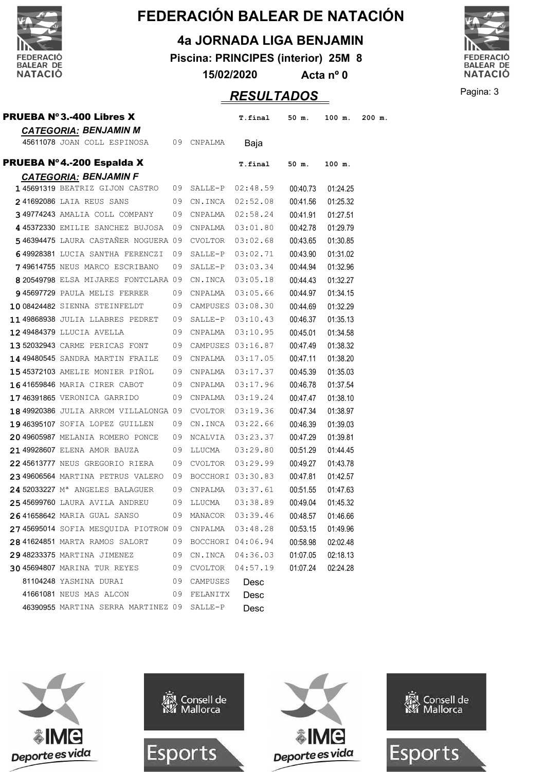

#### **4a JORNADA LIGA BENJAMIN**

**Piscina: PRINCIPES (interior) 25M 8**

**15/02/2020 Acta nº 0**

## Pagina: 3 *RESULTADOS*



| <b>PRUEBA Nº3.-400 Libres X</b>                        |    |                      | T.final          | 50 m.    | 100 m.   | $200$ m. |
|--------------------------------------------------------|----|----------------------|------------------|----------|----------|----------|
| <b>CATEGORIA: BENJAMIN M</b>                           |    |                      |                  |          |          |          |
| 45611078 JOAN COLL ESPINOSA                            | 09 | CNPALMA              | Baja             |          |          |          |
| PRUEBA Nº4.-200 Espalda X                              |    |                      | T.final          | 50 m.    | 100 m.   |          |
| <b>CATEGORIA: BENJAMIN F</b>                           |    |                      |                  |          |          |          |
| 145691319 BEATRIZ GIJON CASTRO                         |    | 09 SALLE-P 02:48.59  |                  | 00:40.73 | 01:24.25 |          |
| 241692086 LAIA REUS SANS                               |    | 09 CN.INCA 02:52.08  |                  | 00:41.56 | 01:25.32 |          |
| 349774243 AMALIA COLL COMPANY                          |    | 09 CNPALMA           | 02:58.24         | 00:41.91 | 01:27.51 |          |
| 445372330 EMILIE SANCHEZ BUJOSA 09 CNPALMA 03:01.80    |    |                      |                  | 00:42.78 | 01:29.79 |          |
| 546394475 LAURA CASTAÑER NOGUERA 09                    |    | CVOLTOR              | 03:02.68         | 00:43.65 | 01:30.85 |          |
| 649928381 LUCIA SANTHA FERENCZI                        | 09 | SALLE-P              | 03:02.71         | 00:43.90 | 01:31.02 |          |
| 749614755 NEUS MARCO ESCRIBANO                         | 09 | SALLE-P              | 03:03.34         | 00:44.94 | 01:32.96 |          |
| 8 20549798 ELSA MIJARES FONTCLARA 09                   |    | CN.INCA              | 03:05.18         | 00:44.43 | 01:32.27 |          |
| 945697729 PAULA MELIS FERRER                           | 09 | CNPALMA              | 03:05.66         | 00:44.97 | 01:34.15 |          |
| 10 08424482 SIENNA STEINFELDT                          |    | 09 CAMPUSES 03:08.30 |                  | 00:44.69 | 01:32.29 |          |
| 1149868938 JULIA LLABRES PEDRET                        |    | 09 SALLE-P           | 03:10.43         | 00:46.37 | 01:35.13 |          |
| 12 49484379 LLUCIA AVELLA                              |    | 09 CNPALMA 03:10.95  |                  | 00:45.01 | 01:34.58 |          |
| 13 52032943 CARME PERICAS FONT                         |    | 09 CAMPUSES 03:16.87 |                  | 00:47.49 | 01:38.32 |          |
| 14 49480545 SANDRA MARTIN FRAILE                       |    | 09 CNPALMA           | 03:17.05         | 00:47.11 | 01:38.20 |          |
| 15 45372103 AMELIE MONIER PIÑOL 09 CNPALMA             |    |                      | 03:17.37         | 00:45.39 | 01:35.03 |          |
| 1641659846 MARIA CIRER CABOT                           |    | 09 CNPALMA           | 03:17.96         | 00:46.78 | 01:37.54 |          |
| 1746391865 VERONICA GARRIDO                            |    | 09 CNPALMA 03:19.24  |                  | 00:47.47 | 01:38.10 |          |
| 18 49920386 JULIA ARROM VILLALONGA 09 CVOLTOR          |    |                      | 03:19.36         | 00:47.34 | 01:38.97 |          |
| 1946395107 SOFIA LOPEZ GUILLEN                         | 09 | CN.INCA              | 03:22.66         | 00:46.39 | 01:39.03 |          |
| 20 49605987 MELANIA ROMERO PONCE                       | 09 | NCALVIA              | 03:23.37         | 00:47.29 | 01:39.81 |          |
| 21 49928607 ELENA AMOR BAUZA                           | 09 | LLUCMA               | 03:29.80         | 00:51.29 | 01:44.45 |          |
| 2245613777 NEUS GREGORIO RIERA                         |    | 09 CVOLTOR           | 03:29.99         | 00:49.27 | 01:43.78 |          |
| 23 49606564 MARTINA PETRUS VALERO 09 BOCCHORI 03:30.83 |    |                      |                  | 00:47.81 | 01:42.57 |          |
| 24 52033227 M <sup>a</sup> ANGELES BALAGUER            | 09 | CNPALMA              | 03:37.61         | 00:51.55 | 01:47.63 |          |
| 2545699760 LAURA AVILA ANDREU                          | 09 | LLUCMA               | 03:38.89         | 00:49.04 | 01:45.32 |          |
| <b>2641658642</b> MARIA GUAL SANSO                     | 09 |                      | MANACOR 03:39.46 | 00:48.57 | 01:46.66 |          |
| 2745695014 SOFIA MESOUIDA PIOTROW 09                   |    | CNPALMA              | 03:48.28         | 00:53.15 | 01:49.96 |          |
| 28 41624851 MARTA RAMOS SALORT                         |    | 09 BOCCHORI 04:06.94 |                  | 00:58.98 | 02:02.48 |          |
| 29 48233375 MARTINA JIMENEZ                            |    | 09 CN.INCA           | 04:36.03         | 01:07.05 | 02:18.13 |          |
| 3045694807 MARINA TUR REYES                            |    | 09 CVOLTOR 04:57.19  |                  | 01:07.24 | 02:24.28 |          |
| 81104248 YASMINA DURAI                                 |    | 09 CAMPUSES          | Desc             |          |          |          |
| 41661081 NEUS MAS ALCON                                | 09 | FELANITX             | Desc             |          |          |          |
| 46390955 MARTINA SERRA MARTINEZ 09 SALLE-P             |    |                      | Desc             |          |          |          |







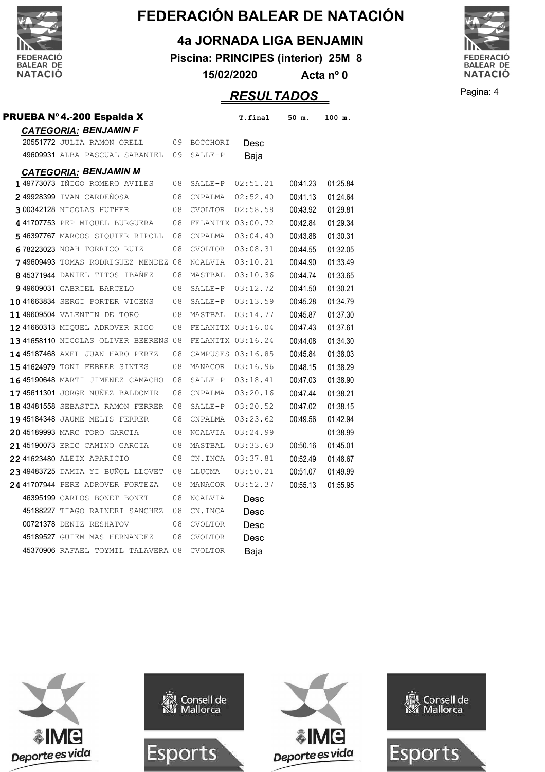

**4a JORNADA LIGA BENJAMIN**

**Piscina: PRINCIPES (interior) 25M 8**

**15/02/2020 Acta nº 0**



Pagina: 4 *RESULTADOS*

| PRUEBA Nº4.-200 Espalda X            |    |                   | T.final  | 50 m.    | 100 m.   |
|--------------------------------------|----|-------------------|----------|----------|----------|
| <b>CATEGORIA: BENJAMIN F</b>         |    |                   |          |          |          |
| 20551772 JULIA RAMON ORELL           |    | 09 BOCCHORI       | Desc     |          |          |
| 49609931 ALBA PASCUAL SABANIEL 09    |    | SALLE-P           | Baja     |          |          |
| <b>CATEGORIA: BENJAMIN M</b>         |    |                   |          |          |          |
| <b>149773073</b> IÑIGO ROMERO AVILES | 08 | SALLE-P           | 02:51.21 | 00:41.23 | 01:25.84 |
| 249928399 IVAN CARDEÑOSA             | 08 | CNPALMA           | 02:52.40 | 00:41.13 | 01:24.64 |
| 300342128 NICOLAS HUTHER             | 08 | CVOLTOR           | 02:58.58 | 00:43.92 | 01:29.81 |
| 441707753 PEP MIQUEL BURGUERA        | 08 | FELANITX 03:00.72 |          | 00:42.84 | 01:29.34 |
| 546397767 MARCOS SIQUIER RIPOLL      | 08 | CNPALMA           | 03:04.40 | 00:43.88 | 01:30.31 |
| 678223023 NOAH TORRICO RUIZ          | 08 | CVOLTOR           | 03:08.31 | 00:44.55 | 01:32.05 |
| 749609493 TOMAS RODRIGUEZ MENDEZ 08  |    | NCALVIA           | 03:10.21 | 00:44.90 | 01:33.49 |
| 845371944 DANIEL TITOS IBAÑEZ        | 08 | MASTBAL           | 03:10.36 | 00:44.74 | 01:33.65 |
| 949609031 GABRIEL BARCELO            | 08 | SALLE-P           | 03:12.72 | 00:41.50 | 01:30.21 |
| 1041663834 SERGI PORTER VICENS       | 08 | SALLE-P           | 03:13.59 | 00:45.28 | 01:34.79 |
| 1149609504 VALENTIN DE TORO          | 08 | MASTBAL           | 03:14.77 | 00:45.87 | 01:37.30 |
| 12 41660313 MIQUEL ADROVER RIGO      | 08 | FELANITX 03:16.04 |          | 00:47.43 | 01:37.61 |
| 1341658110 NICOLAS OLIVER BEERENS 08 |    | FELANITX 03:16.24 |          | 00:44.08 | 01:34.30 |
| 14 45187468 AXEL JUAN HARO PEREZ     | 08 | CAMPUSES 03:16.85 |          | 00:45.84 | 01:38.03 |
| 1541624979 TONI FEBRER SINTES        | 08 | MANACOR           | 03:16.96 | 00:48.15 | 01:38.29 |
| 1645190648 MARTI JIMENEZ CAMACHO     | 08 | SALLE-P           | 03:18.41 | 00:47.03 | 01:38.90 |
| 1745611301 JORGE NUÑEZ BALDOMIR      | 08 | CNPALMA           | 03:20.16 | 00:47.44 | 01:38.21 |
| 18 43481558 SEBASTIA RAMON FERRER    | 08 | SALLE-P           | 03:20.52 | 00:47.02 | 01:38.15 |
| 19 45184348 JAUME MELIS FERRER       | 08 | CNPALMA           | 03:23.62 | 00:49.56 | 01:42.94 |
| 20 45189993 MARC TORO GARCIA         | 08 | NCALVIA           | 03:24.99 |          | 01:38.99 |
| 21 45190073 ERIC CAMINO GARCIA       | 08 | MASTBAL           | 03:33.60 | 00:50.16 | 01:45.01 |
| 22 41623480 ALEIX APARICIO           | 08 | CN.INCA           | 03:37.81 | 00:52.49 | 01:48.67 |
| 2349483725 DAMIA YI BUÑOL LLOVET     | 08 | LLUCMA            | 03:50.21 | 00:51.07 | 01:49.99 |
| 24 41707944 PERE ADROVER FORTEZA     | 08 | MANACOR           | 03:52.37 | 00:55.13 | 01:55.95 |
| 46395199 CARLOS BONET BONET          | 08 | NCALVIA           | Desc     |          |          |
| 45188227 TIAGO RAINERI SANCHEZ       | 08 | CN.INCA           | Desc     |          |          |
| 00721378 DENIZ RESHATOV              | 08 | <b>CVOLTOR</b>    | Desc     |          |          |
| 45189527 GUIEM MAS HERNANDEZ         | 08 | <b>CVOLTOR</b>    | Desc     |          |          |
| 45370906 RAFAEL TOYMIL TALAVERA 08   |    | <b>CVOLTOR</b>    | Baja     |          |          |







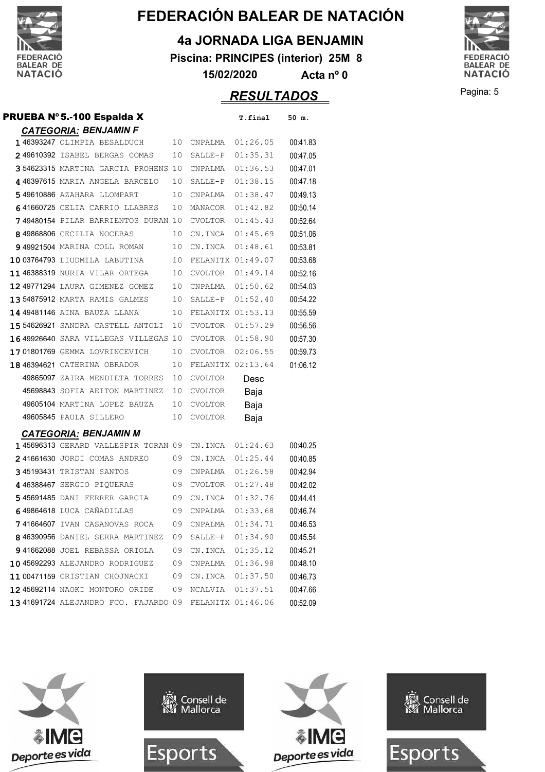

#### **4a JORNADA LIGA BENJAMIN**

**Piscina: PRINCIPES (interior) 25M 8**

**15/02/2020 Acta nº 0**

## **RESULTADOS** Pagina: 5



| PRUEBA Nº 5.-100 Espalda X           |    |                     | T.final           | 50 m.    |
|--------------------------------------|----|---------------------|-------------------|----------|
| <b>CATEGORIA: BENJAMIN F</b>         |    |                     |                   |          |
| 146393247 OLIMPIA BESALDUCH          | 10 | CNPALMA             | 01:26.05          | 00:41.83 |
| 249610392 ISABEL BERGAS COMAS        | 10 | SALLE-P             | 01:35.31          | 00:47.05 |
| 354623315 MARTINA GARCIA PROHENS 10  |    | CNPALMA             | 01:36.53          | 00:47.01 |
| 4 46397615 MARIA ANGELA BARCELO      | 10 | SALLE-P             | 01:38.15          | 00:47.18 |
| 549610886 AZAHARA LLOMPART           | 10 | CNPALMA             | 01:38.47          | 00:49.13 |
| 641660725 CELIA CARRIO LLABRES       | 10 | MANACOR             | 01:42.82          | 00:50.14 |
| 749480154 PILAR BARRIENTOS DURAN 10  |    | CVOLTOR             | 01:45.43          | 00:52.64 |
| 849868806 CECILIA NOCERAS            | 10 | CN.INCA 01:45.69    |                   | 00:51.06 |
| 949921504 MARINA COLL ROMAN          | 10 | CN.INCA             | 01:48.61          | 00:53.81 |
| 1003764793 LIUDMILA LABUTINA         | 10 | FELANITX 01:49.07   |                   | 00:53.68 |
| 1146388319 NURIA VILAR ORTEGA        | 10 | CVOLTOR             | 01:49.14          | 00:52.16 |
| 12 49771294 LAURA GIMENEZ GOMEZ      | 10 | CNPALMA             | 01:50.62          | 00:54.03 |
| 13 54875912 MARTA RAMIS GALMES       | 10 | SALLE-P             | 01:52.40          | 00:54.22 |
| 14 49481146 AINA BAUZA LLANA         | 10 | FELANITX 01:53.13   |                   | 00:55.59 |
| 15 54626921 SANDRA CASTELL ANTOLI    | 10 | CVOLTOR             | 01:57.29          | 00:56.56 |
| 1649926640 SARA VILLEGAS VILLEGAS 10 |    | CVOLTOR             | 01:58.90          | 00:57.30 |
| 1701801769 GEMMA LOVRINCEVICH        | 10 | <b>CVOLTOR</b>      | 02:06.55          | 00:59.73 |
| 18 46394621 CATERINA OBRADOR         | 10 |                     | FELANITX 02:13.64 | 01:06.12 |
| 49865097 ZAIRA MENDIETA TORRES       | 10 | <b>CVOLTOR</b>      | Desc              |          |
| 45698843 SOFIA AEITON MARTINEZ       | 10 | <b>CVOLTOR</b>      | Baja              |          |
| 49605104 MARTINA LOPEZ BAUZA         | 10 | CVOLTOR             | Baja              |          |
| 49605845 PAULA SILLERO               | 10 | <b>CVOLTOR</b>      | Baja              |          |
| <b>CATEGORIA: BENJAMIN M</b>         |    |                     |                   |          |
| 145696313 GERARD VALLESPIR TORAN 09  |    | CN.INCA             | 01:24.63          | 00:40.25 |
| 241661630 JORDI COMAS ANDREO         | 09 | CN.INCA             | 01:25.44          | 00:40.85 |
| 345193431 TRISTAN SANTOS             | 09 | CNPALMA             | 01:26.58          | 00:42.94 |
| 446388467 SERGIO PIQUERAS            | 09 | CVOLTOR             | 01:27.48          | 00:42.02 |
| 545691485 DANI FERRER GARCIA         | 09 | CN.INCA             | 01:32.76          | 00:44.41 |
| 649864618 LUCA CAÑADILLAS            | 09 | CNPALMA             | 01:33.68          | 00:46.74 |
| 741664607 IVAN CASANOVAS ROCA        |    | 09 CNPALMA 01:34.71 |                   | 00:46.53 |
| 846390956 DANIEL SERRA MARTINEZ      | 09 | SALLE-P 01:34.90    |                   | 00:45.54 |
| 941662088 JOEL REBASSA ORIOLA        | 09 | CN.INCA             | 01:35.12          | 00:45.21 |
| 10 45692293 ALEJANDRO RODRIGUEZ      | 09 |                     | CNPALMA  01:36.98 | 00:48.10 |
| 11 00471159 CRISTIAN CHOJNACKI       | 09 |                     | CN.INCA 01:37.50  | 00:46.73 |
| 12 45692114 NAOKI MONTORO ORIDE      | 09 | NCALVIA 01:37.51    |                   | 00:47.66 |
| 1341691724 ALEJANDRO FCO. FAJARDO 09 |    | FELANITX 01:46.06   |                   | 00:52.09 |